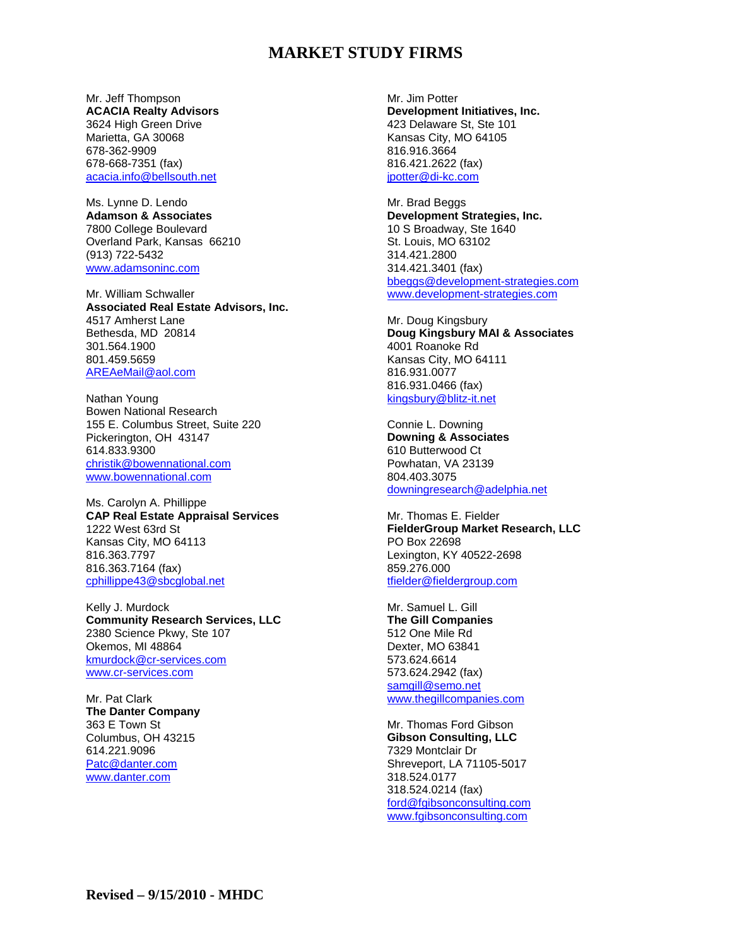## **MARKET STUDY FIRMS**

Mr. Jeff Thompson **ACACIA Realty Advisors** 3624 High Green Drive Marietta, GA 30068 678-362-9909 678-668-7351 (fax) [acacia.info@bellsouth.net](mailto:acacia.info@bellsouth.net)

Ms. Lynne D. Lendo **Adamson & Associates** 7800 College Boulevard Overland Park, Kansas 66210 (913) 722-5432 [www.adamsoninc.com](http://www.adamsoninc.com/)

Mr. William Schwaller **Associated Real Estate Advisors, Inc.** 4517 Amherst Lane Bethesda, MD 20814 301.564.1900 801.459.5659 [AREAeMail@aol.com](mailto:AREAeMail@aol.com)

Nathan Young Bowen National Research 155 E. Columbus Street, Suite 220 Pickerington, OH 43147 614.833.9300 [christik@bowennational.com](mailto:christik@bowennational.com) [www.bowennational.com](http://www.bowennational.com/)

Ms. Carolyn A. Phillippe **CAP Real Estate Appraisal Services** 1222 West 63rd St Kansas City, MO 64113 816.363.7797 816.363.7164 (fax) [cphillippe43@sbcglobal.net](mailto:cphillippe43@sbcglobal.net)

Kelly J. Murdock **Community Research Services, LLC** 2380 Science Pkwy, Ste 107 Okemos, MI 48864 [kmurdock@cr-services.com](mailto:kmurdock@cr-services.com) [www.cr-services.com](http://www.cr-services.com/)

Mr. Pat Clark **The Danter Company** 363 E Town St Columbus, OH 43215 614.221.9096 [Patc@danter.com](mailto:Patc@danter.com) [www.danter.com](http://www.danter.com/)

Mr. Jim Potter **Development Initiatives, Inc.** 423 Delaware St, Ste 101 Kansas City, MO 64105 816.916.3664 816.421.2622 (fax) [jpotter@di-kc.com](mailto:jpotter@di-kc.com)

Mr. Brad Beggs **Development Strategies, Inc.** 10 S Broadway, Ste 1640 St. Louis, MO 63102 314.421.2800 314.421.3401 (fax) [bbeggs@development-strategies.com](mailto:bbeggs@development-strategies.com) [www.development-strategies.com](http://www.development-strategies.com/)

Mr. Doug Kingsbury **Doug Kingsbury MAI & Associates** 4001 Roanoke Rd Kansas City, MO 64111 816.931.0077 816.931.0466 (fax) [kingsbury@blitz-it.net](mailto:kingsbury@blitz-it.com)

Connie L. Downing **Downing & Associates** 610 Butterwood Ct Powhatan, VA 23139 804.403.3075 [downingresearch@adelphia.net](mailto:downingresearch@verizon.net)

Mr. Thomas E. Fielder **FielderGroup Market Research, LLC** PO Box 22698 Lexington, KY 40522-2698 859.276.000 [tfielder@fieldergroup.com](mailto:tfielder@fieldergroup.com)

Mr. Samuel L. Gill **The Gill Companies** 512 One Mile Rd Dexter, MO 63841 573.624.6614 573.624.2942 (fax) [samgill@semo.net](mailto:samgill@semo.net) [www.thegillcompanies.com](http://www.thegillcompanies.com/)

Mr. Thomas Ford Gibson **Gibson Consulting, LLC** 7329 Montclair Dr Shreveport, LA 71105-5017 318.524.0177 318.524.0214 (fax) [ford@fgibsonconsulting.com](mailto:ford@fgibsonconsulting.com) [www.fgibsonconsulting.com](http://www.fgibsonconsulting.com/)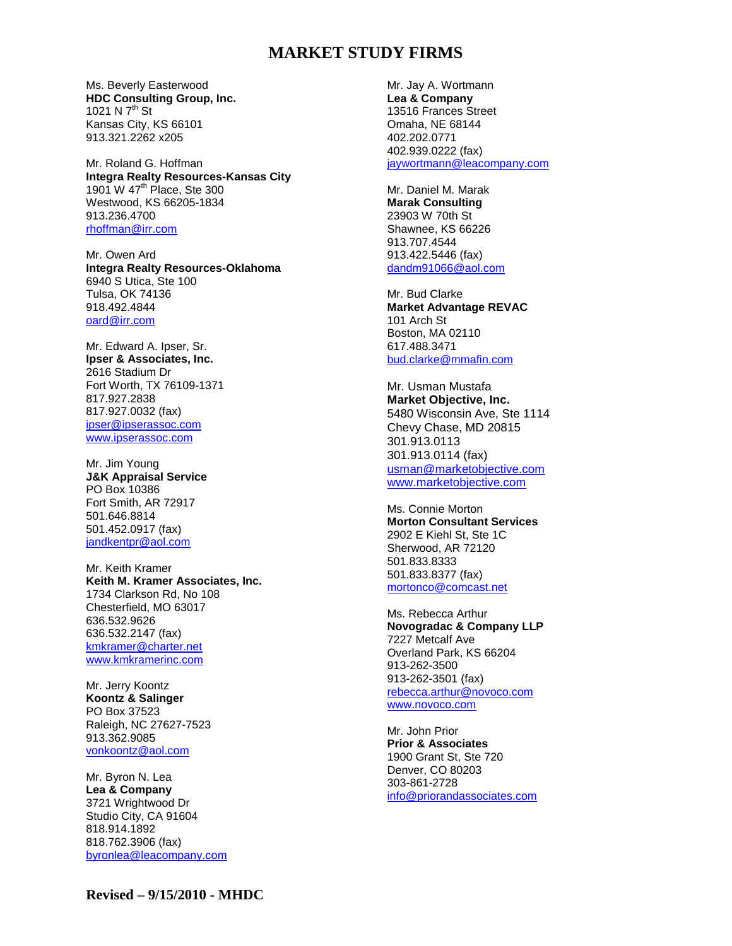## **MARKET STUDY FIRMS**

Ms. Beverly Easterwood **HDC Consulting Group, Inc.** 1021 N  $7^{th}$  St Kansas City, KS 66101 913.321.2262 x205

Mr. Roland G. Hoffman **Integra Realty Resources-Kansas City** 1901 W 47<sup>th</sup> Place, Ste 300 Westwood, KS 66205-1834 913.236.4700 [rhoffman@irr.com](mailto:rhoffman@irr.com)

Mr. Owen Ard **Integra Realty Resources-Oklahoma** 6940 S Utica, Ste 100 Tulsa, OK 74136 918.492.4844 [oard@irr.com](mailto:oard@irr.com)

Mr. Edward A. Ipser, Sr. **Ipser & Associates, Inc.** 2616 Stadium Dr Fort Worth, TX 76109-1371 817.927.2838 817.927.0032 (fax) [ipser@ipserassoc.com](mailto:ipser@ipserassoc.com) [www.ipserassoc.com](http://www.ipserassoc.com/)

Mr. Jim Young **J&K Appraisal Service** PO Box 10386 Fort Smith, AR 72917 501.646.8814 501.452.0917 (fax) [jandkentpr@aol.com](mailto:jandkentpr@aol.com)

Mr. Keith Kramer **Keith M. Kramer Associates, Inc.** 1734 Clarkson Rd, No 108 Chesterfield, MO 63017 636.532.9626 636.532.2147 (fax) [kmkramer@charter.net](mailto:aptapprsr@aol.com) [www.kmkramerinc.com](http://www.kmkramerinc.com/)

Mr. Jerry Koontz **Koontz & Salinger** PO Box 37523 Raleigh, NC 27627-7523 913.362.9085 [vonkoontz@aol.com](mailto:vonkoontz@aol.com)

Mr. Byron N. Lea **Lea & Company** 3721 Wrightwood Dr Studio City, CA 91604 818.914.1892 818.762.3906 (fax) [byronlea@leacompany.com](mailto:byronlea@leacompany.com)

Mr. Jay A. Wortmann **Lea & Company** 13516 Frances Street Omaha, NE 68144 402.202.0771 402.939.0222 (fax) [jaywortmann@leacompany.com](mailto:jaywortmann@leacompany.com)

Mr. Daniel M. Marak **Marak Consulting** 23903 W 70th St Shawnee, KS 66226 913.707.4544 913.422.5446 (fax) [dandm91066@aol.com](mailto:dandm91066@aol.com)

Mr. Bud Clarke **Market Advantage REVAC** 101 Arch St Boston, MA 02110 617.488.3471 [bud.clarke@mmafin.com](mailto:temple71@aol.com)

Mr. Usman Mustafa **Market Objective, Inc.**  5480 Wisconsin Ave, Ste 1114 Chevy Chase, MD 20815 301.913.0113 301.913.0114 (fax) [usman@marketobjective.com](mailto:usman@marketobjective.com) [www.marketobjective.com](http://www.marketobjective.com/)

Ms. Connie Morton **Morton Consultant Services** 2902 E Kiehl St, Ste 1C Sherwood, AR 72120 501.833.8333 501.833.8377 (fax) [mortonco@comcast.net](mailto:mortonco@swbell.net)

Ms. Rebecca Arthur **Novogradac & Company LLP** 7227 Metcalf Ave Overland Park, KS 66204 913-262-3500 913-262-3501 (fax) [rebecca.arthur@novoco.com](mailto:rebecca.arthur@novoco.com) [www.novoco.com](http://www.novoco.com/)

Mr. John Prior **Prior & Associates** 1900 Grant St, Ste 720 Denver, CO 80203 303-861-2728 [info@priorandassociates.com](mailto:info@priorandassociates.com)